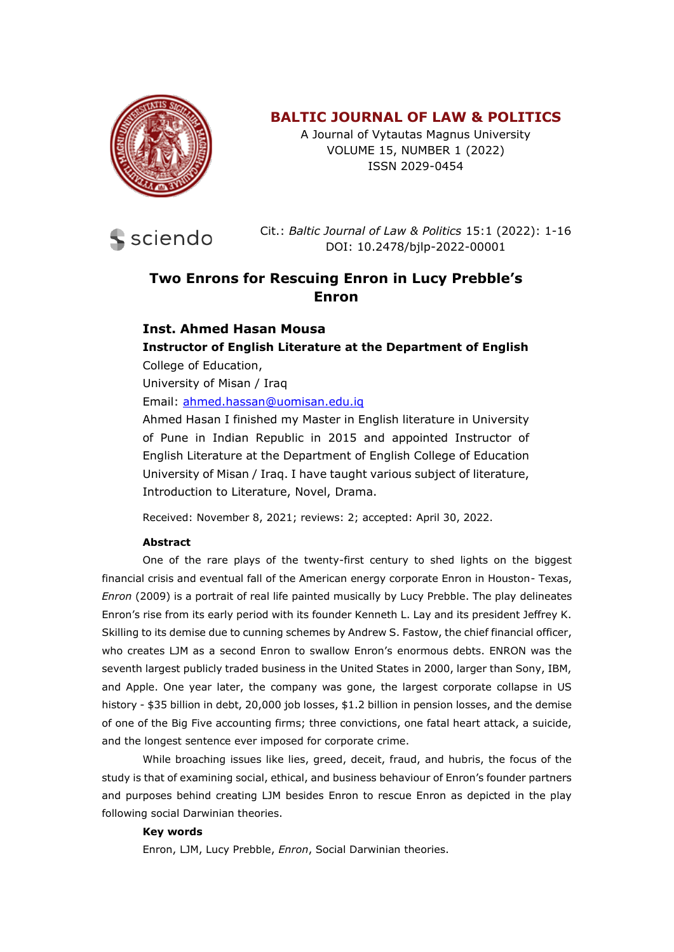

# **BALTIC JOURNAL OF LAW & POLITICS**

A Journal of Vytautas Magnus University VOLUME 15, NUMBER 1 (2022) ISSN 2029-0454



Cit.: *Baltic Journal of Law & Politics* 15:1 (2022): 1-16 DOI: 10.2478/bjlp-2022-00001

# **Two Enrons for Rescuing Enron in Lucy Prebble's Enron**

## **Inst. Ahmed Hasan Mousa Instructor of English Literature at the Department of English**

College of Education,

University of Misan / Iraq

Email: [ahmed.hassan@uomisan.edu.iq](mailto:ahmed.hassan@uomisan.edu.iq)

Ahmed Hasan I finished my Master in English literature in University of Pune in Indian Republic in 2015 and appointed Instructor of English Literature at the Department of English College of Education University of Misan / Iraq. I have taught various subject of literature, Introduction to Literature, Novel, Drama.

Received: November 8, 2021; reviews: 2; accepted: April 30, 2022.

#### **Abstract**

One of the rare plays of the twenty-first century to shed lights on the biggest financial crisis and eventual fall of the American energy corporate Enron in Houston- Texas, *Enron* (2009) is a portrait of real life painted musically by Lucy Prebble. The play delineates Enron's rise from its early period with its founder Kenneth L. Lay and its president Jeffrey K. Skilling to its demise due to cunning schemes by Andrew S. Fastow, the chief financial officer, who creates LJM as a second Enron to swallow Enron's enormous debts. ENRON was the seventh largest publicly traded business in the United States in 2000, larger than Sony, IBM, and Apple. One year later, the company was gone, the largest corporate collapse in US history - \$35 billion in debt, 20,000 job losses, \$1.2 billion in pension losses, and the demise of one of the Big Five accounting firms; three convictions, one fatal heart attack, a suicide, and the longest sentence ever imposed for corporate crime.

While broaching issues like lies, greed, deceit, fraud, and hubris, the focus of the study is that of examining social, ethical, and business behaviour of Enron's founder partners and purposes behind creating LJM besides Enron to rescue Enron as depicted in the play following social Darwinian theories.

#### **Key words**

Enron, LJM, Lucy Prebble, *Enron*, Social Darwinian theories.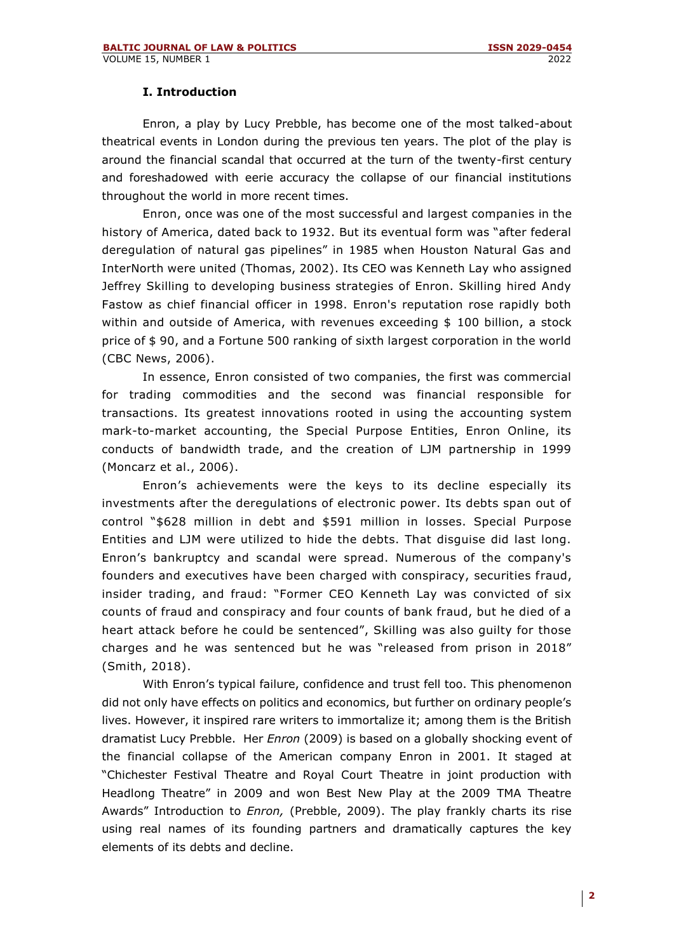## **I. Introduction**

Enron, a play by Lucy Prebble, has become one of the most talked-about theatrical events in London during the previous ten years. The plot of the play is around the financial scandal that occurred at the turn of the twenty-first century and foreshadowed with eerie accuracy the collapse of our financial institutions throughout the world in more recent times.

Enron, once was one of the most successful and largest companies in the history of America, dated back to 1932. But its eventual form was "after federal deregulation of natural gas pipelines" in 1985 when Houston Natural Gas and InterNorth were united (Thomas, 2002). Its CEO was Kenneth Lay who assigned Jeffrey Skilling to developing business strategies of Enron. Skilling hired Andy Fastow as chief financial officer in 1998. Enron's reputation rose rapidly both within and outside of America, with revenues exceeding \$ 100 billion, a stock price of \$ 90, and a Fortune 500 ranking of sixth largest corporation in the world (CBC News, 2006).

In essence, Enron consisted of two companies, the first was commercial for trading commodities and the second was financial responsible for transactions. Its greatest innovations rooted in using the accounting system mark-to-market accounting, the Special Purpose Entities, Enron Online, its conducts of bandwidth trade, and the creation of LJM partnership in 1999 (Moncarz et al., 2006).

Enron's achievements were the keys to its decline especially its investments after the deregulations of electronic power. Its debts span out of control "\$628 million in debt and \$591 million in losses. Special Purpose Entities and LJM were utilized to hide the debts. That disguise did last long. Enron's bankruptcy and scandal were spread. Numerous of the company's founders and executives have been charged with conspiracy, securities fraud, insider trading, and fraud: "Former CEO Kenneth Lay was convicted of six counts of fraud and conspiracy and four counts of bank fraud, but he died of a heart attack before he could be sentenced", Skilling was also guilty for those charges and he was sentenced but he was "released from prison in 2018" (Smith, 2018).

With Enron's typical failure, confidence and trust fell too. This phenomenon did not only have effects on politics and economics, but further on ordinary people's lives. However, it inspired rare writers to immortalize it; among them is the British dramatist Lucy Prebble. Her *Enron* (2009) is based on a globally shocking event of the financial collapse of the American company Enron in 2001. It staged at "Chichester Festival Theatre and Royal Court Theatre in joint production with Headlong Theatre" in 2009 and won Best New Play at the 2009 TMA Theatre Awards" Introduction to *Enron,* (Prebble, 2009). The play frankly charts its rise using real names of its founding partners and dramatically captures the key elements of its debts and decline.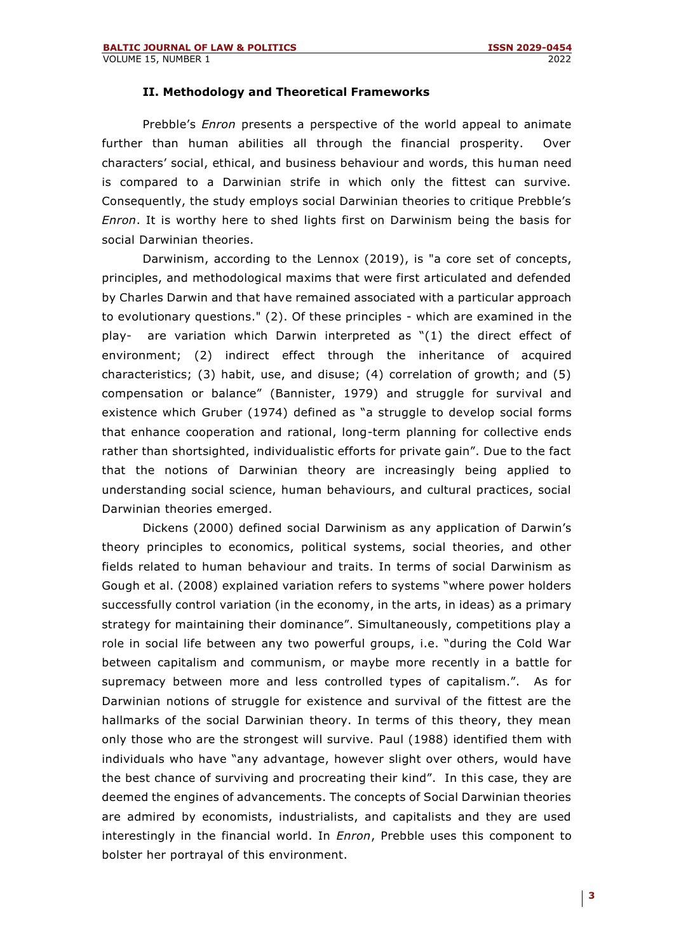#### **II. Methodology and Theoretical Frameworks**

Prebble's *Enron* presents a perspective of the world appeal to animate further than human abilities all through the financial prosperity. Over characters' social, ethical, and business behaviour and words, this human need is compared to a Darwinian strife in which only the fittest can survive. Consequently, the study employs social Darwinian theories to critique Prebble's *Enron*. It is worthy here to shed lights first on Darwinism being the basis for social Darwinian theories.

Darwinism, according to the Lennox (2019), is "a core set of concepts, principles, and methodological maxims that were first articulated and defended by Charles Darwin and that have remained associated with a particular approach to evolutionary questions." (2). Of these principles - which are examined in the play- are variation which Darwin interpreted as "(1) the direct effect of environment; (2) indirect effect through the inheritance of acquired characteristics; (3) habit, use, and disuse; (4) correlation of growth; and (5) compensation or balance" (Bannister, 1979) and struggle for survival and existence which Gruber (1974) defined as "a struggle to develop social forms that enhance cooperation and rational, long-term planning for collective ends rather than shortsighted, individualistic efforts for private gain". Due to the fact that the notions of Darwinian theory are increasingly being applied to understanding social science, human behaviours, and cultural practices, social Darwinian theories emerged.

Dickens (2000) defined social Darwinism as any application of Darwin's theory principles to economics, political systems, social theories, and other fields related to human behaviour and traits. In terms of social Darwinism as Gough et al. (2008) explained variation refers to systems "where power holders successfully control variation (in the economy, in the arts, in ideas) as a primary strategy for maintaining their dominance". Simultaneously, competitions play a role in social life between any two powerful groups, i.e. "during the Cold War between capitalism and communism, or maybe more recently in a battle for supremacy between more and less controlled types of capitalism.". As for Darwinian notions of struggle for existence and survival of the fittest are the hallmarks of the social Darwinian theory. In terms of this theory, they mean only those who are the strongest will survive. Paul (1988) identified them with individuals who have "any advantage, however slight over others, would have the best chance of surviving and procreating their kind". In this case, they are deemed the engines of advancements. The concepts of Social Darwinian theories are admired by economists, industrialists, and capitalists and they are used interestingly in the financial world. In *Enron*, Prebble uses this component to bolster her portrayal of this environment.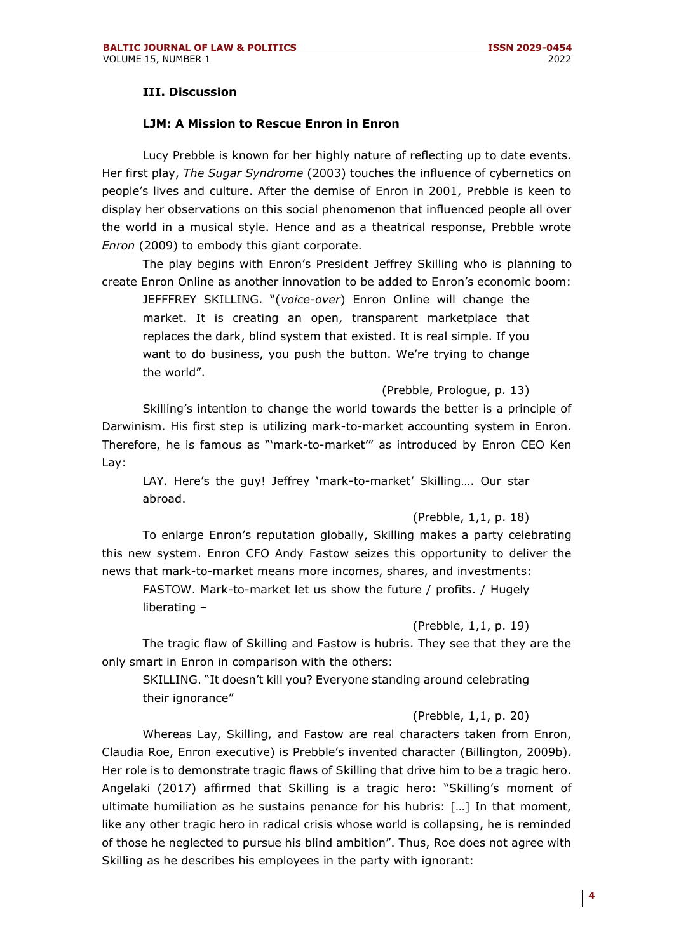## **III. Discussion**

## **LJM: A Mission to Rescue Enron in Enron**

Lucy Prebble is known for her highly nature of reflecting up to date events. Her first play, *The Sugar Syndrome* (2003) touches the influence of cybernetics on people's lives and culture. After the demise of Enron in 2001, Prebble is keen to display her observations on this social phenomenon that influenced people all over the world in a musical style. Hence and as a theatrical response, Prebble wrote *Enron* (2009) to embody this giant corporate.

The play begins with Enron's President Jeffrey Skilling who is planning to create Enron Online as another innovation to be added to Enron's economic boom:

JEFFFREY SKILLING. "(*voice-over*) Enron Online will change the market. It is creating an open, transparent marketplace that replaces the dark, blind system that existed. It is real simple. If you want to do business, you push the button. We're trying to change the world".

(Prebble, Prologue, p. 13)

Skilling's intention to change the world towards the better is a principle of Darwinism. His first step is utilizing mark-to-market accounting system in Enron. Therefore, he is famous as "'mark-to-market'" as introduced by Enron CEO Ken Lay:

LAY. Here's the guy! Jeffrey 'mark-to-market' Skilling…. Our star abroad.

#### (Prebble, 1,1, p. 18)

To enlarge Enron's reputation globally, Skilling makes a party celebrating this new system. Enron CFO Andy Fastow seizes this opportunity to deliver the news that mark-to-market means more incomes, shares, and investments:

FASTOW. Mark-to-market let us show the future / profits. / Hugely liberating –

## (Prebble, 1,1, p. 19)

The tragic flaw of Skilling and Fastow is hubris. They see that they are the only smart in Enron in comparison with the others:

SKILLING. "It doesn't kill you? Everyone standing around celebrating their ignorance"

#### (Prebble, 1,1, p. 20)

Whereas Lay, Skilling, and Fastow are real characters taken from Enron, Claudia Roe, Enron executive) is Prebble's invented character (Billington, 2009b). Her role is to demonstrate tragic flaws of Skilling that drive him to be a tragic hero. Angelaki (2017) affirmed that Skilling is a tragic hero: "Skilling's moment of ultimate humiliation as he sustains penance for his hubris: […] In that moment, like any other tragic hero in radical crisis whose world is collapsing, he is reminded of those he neglected to pursue his blind ambition". Thus, Roe does not agree with Skilling as he describes his employees in the party with ignorant: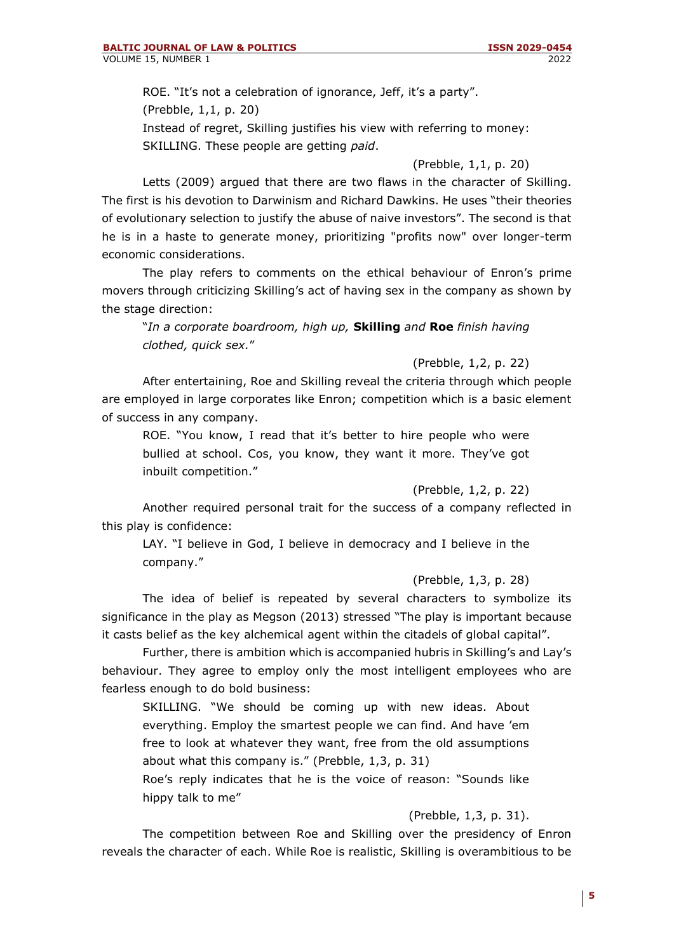ROE. "It's not a celebration of ignorance, Jeff, it's a party". (Prebble, 1,1, p. 20) Instead of regret, Skilling justifies his view with referring to money: SKILLING. These people are getting *paid*.

## (Prebble, 1,1, p. 20)

Letts (2009) argued that there are two flaws in the character of Skilling. The first is his devotion to Darwinism and Richard Dawkins. He uses "their theories of evolutionary selection to justify the abuse of naive investors". The second is that he is in a haste to generate money, prioritizing "profits now" over longer-term economic considerations.

The play refers to comments on the ethical behaviour of Enron's prime movers through criticizing Skilling's act of having sex in the company as shown by the stage direction:

"*In a corporate boardroom, high up,* **Skilling** *and* **Roe** *finish having clothed, quick sex.*"

## (Prebble, 1,2, p. 22)

After entertaining, Roe and Skilling reveal the criteria through which people are employed in large corporates like Enron; competition which is a basic element of success in any company.

ROE. "You know, I read that it's better to hire people who were bullied at school. Cos, you know, they want it more. They've got inbuilt competition."

## (Prebble, 1,2, p. 22)

Another required personal trait for the success of a company reflected in this play is confidence:

LAY. "I believe in God, I believe in democracy and I believe in the company."

## (Prebble, 1,3, p. 28)

The idea of belief is repeated by several characters to symbolize its significance in the play as Megson (2013) stressed "The play is important because it casts belief as the key alchemical agent within the citadels of global capital".

Further, there is ambition which is accompanied hubris in Skilling's and Lay's behaviour. They agree to employ only the most intelligent employees who are fearless enough to do bold business:

SKILLING. "We should be coming up with new ideas. About everything. Employ the smartest people we can find. And have 'em free to look at whatever they want, free from the old assumptions about what this company is." (Prebble, 1,3, p. 31)

Roe's reply indicates that he is the voice of reason: "Sounds like hippy talk to me"

(Prebble, 1,3, p. 31).

The competition between Roe and Skilling over the presidency of Enron reveals the character of each. While Roe is realistic, Skilling is overambitious to be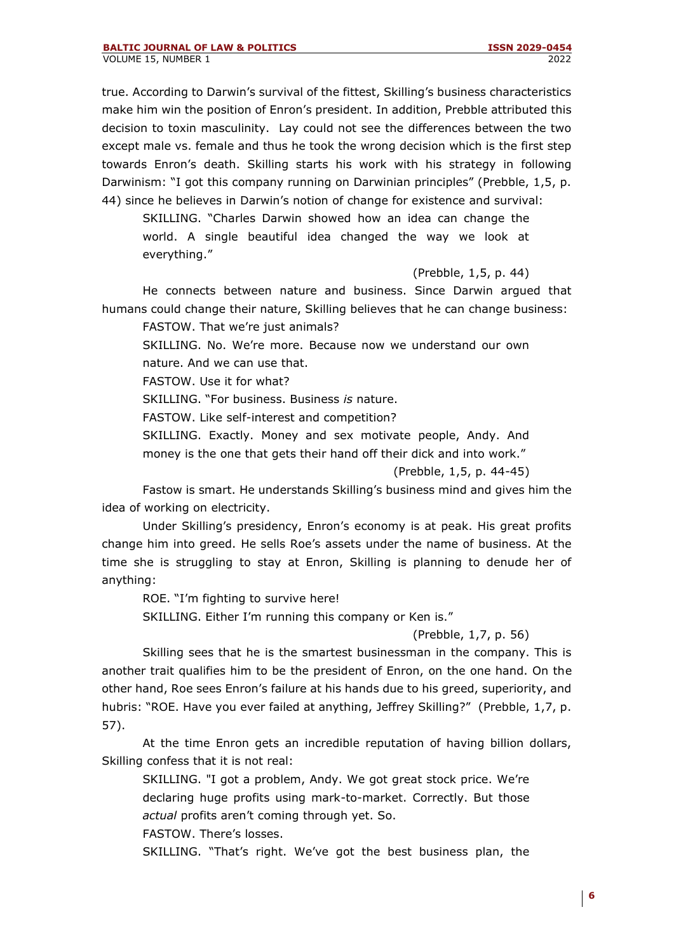true. According to Darwin's survival of the fittest, Skilling's business characteristics make him win the position of Enron's president. In addition, Prebble attributed this decision to toxin masculinity. Lay could not see the differences between the two except male vs. female and thus he took the wrong decision which is the first step towards Enron's death. Skilling starts his work with his strategy in following Darwinism: "I got this company running on Darwinian principles" (Prebble, 1,5, p. 44) since he believes in Darwin's notion of change for existence and survival:

SKILLING. "Charles Darwin showed how an idea can change the world. A single beautiful idea changed the way we look at everything."

(Prebble, 1,5, p. 44)

He connects between nature and business. Since Darwin argued that humans could change their nature, Skilling believes that he can change business:

FASTOW. That we're just animals?

SKILLING. No. We're more. Because now we understand our own nature. And we can use that.

FASTOW. Use it for what?

SKILLING. "For business. Business *is* nature.

FASTOW. Like self-interest and competition?

SKILLING. Exactly. Money and sex motivate people, Andy. And

money is the one that gets their hand off their dick and into work."

(Prebble, 1,5, p. 44-45)

Fastow is smart. He understands Skilling's business mind and gives him the idea of working on electricity.

Under Skilling's presidency, Enron's economy is at peak. His great profits change him into greed. He sells Roe's assets under the name of business. At the time she is struggling to stay at Enron, Skilling is planning to denude her of anything:

ROE. "I'm fighting to survive here!

SKILLING. Either I'm running this company or Ken is."

## (Prebble, 1,7, p. 56)

Skilling sees that he is the smartest businessman in the company. This is another trait qualifies him to be the president of Enron, on the one hand. On the other hand, Roe sees Enron's failure at his hands due to his greed, superiority, and hubris: "ROE. Have you ever failed at anything, Jeffrey Skilling?" (Prebble, 1,7, p. 57).

At the time Enron gets an incredible reputation of having billion dollars, Skilling confess that it is not real:

SKILLING. "I got a problem, Andy. We got great stock price. We're declaring huge profits using mark-to-market. Correctly. But those *actual* profits aren't coming through yet. So.

FASTOW. There's losses.

SKILLING. "That's right. We've got the best business plan, the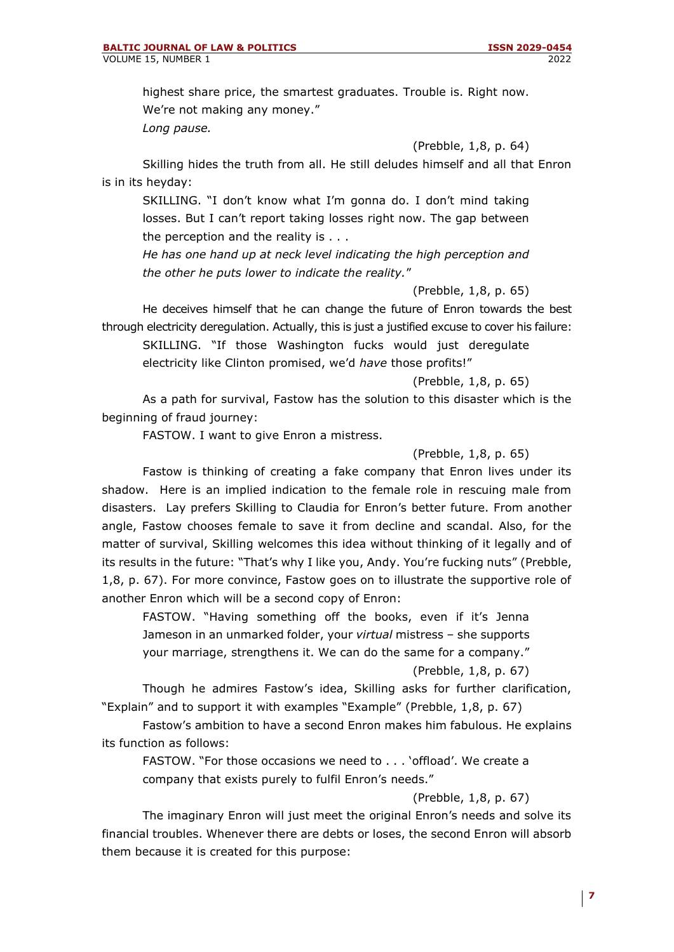highest share price, the smartest graduates. Trouble is. Right now. We're not making any money."

*Long pause.*

(Prebble, 1,8, p. 64)

Skilling hides the truth from all. He still deludes himself and all that Enron is in its heyday:

SKILLING. "I don't know what I'm gonna do. I don't mind taking losses. But I can't report taking losses right now. The gap between the perception and the reality is . . .

*He has one hand up at neck level indicating the high perception and the other he puts lower to indicate the reality.*"

(Prebble, 1,8, p. 65)

He deceives himself that he can change the future of Enron towards the best through electricity deregulation. Actually, this is just a justified excuse to cover his failure:

SKILLING. "If those Washington fucks would just deregulate electricity like Clinton promised, we'd *have* those profits!"

(Prebble, 1,8, p. 65)

As a path for survival, Fastow has the solution to this disaster which is the beginning of fraud journey:

FASTOW. I want to give Enron a mistress.

## (Prebble, 1,8, p. 65)

Fastow is thinking of creating a fake company that Enron lives under its shadow. Here is an implied indication to the female role in rescuing male from disasters. Lay prefers Skilling to Claudia for Enron's better future. From another angle, Fastow chooses female to save it from decline and scandal. Also, for the matter of survival, Skilling welcomes this idea without thinking of it legally and of its results in the future: "That's why I like you, Andy. You're fucking nuts" (Prebble, 1,8, p. 67). For more convince, Fastow goes on to illustrate the supportive role of another Enron which will be a second copy of Enron:

FASTOW. "Having something off the books, even if it's Jenna Jameson in an unmarked folder, your *virtual* mistress – she supports your marriage, strengthens it. We can do the same for a company."

(Prebble, 1,8, p. 67)

Though he admires Fastow's idea, Skilling asks for further clarification, "Explain" and to support it with examples "Example" (Prebble, 1,8, p. 67)

Fastow's ambition to have a second Enron makes him fabulous. He explains its function as follows:

FASTOW. "For those occasions we need to . . . 'offload'. We create a company that exists purely to fulfil Enron's needs."

#### (Prebble, 1,8, p. 67)

The imaginary Enron will just meet the original Enron's needs and solve its financial troubles. Whenever there are debts or loses, the second Enron will absorb them because it is created for this purpose: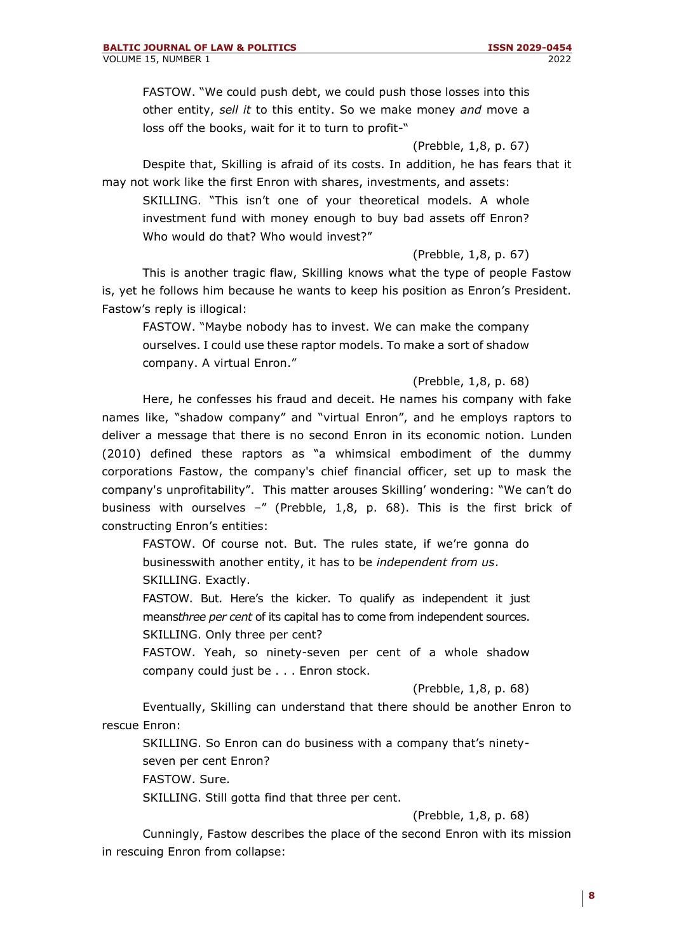FASTOW. "We could push debt, we could push those losses into this other entity, *sell it* to this entity. So we make money *and* move a loss off the books, wait for it to turn to profit-"

## (Prebble, 1,8, p. 67)

Despite that, Skilling is afraid of its costs. In addition, he has fears that it may not work like the first Enron with shares, investments, and assets:

SKILLING. "This isn't one of your theoretical models. A whole investment fund with money enough to buy bad assets off Enron? Who would do that? Who would invest?"

(Prebble, 1,8, p. 67)

This is another tragic flaw, Skilling knows what the type of people Fastow is, yet he follows him because he wants to keep his position as Enron's President. Fastow's reply is illogical:

FASTOW. "Maybe nobody has to invest. We can make the company ourselves. I could use these raptor models. To make a sort of shadow company. A virtual Enron."

(Prebble, 1,8, p. 68)

Here, he confesses his fraud and deceit. He names his company with fake names like, "shadow company" and "virtual Enron", and he employs raptors to deliver a message that there is no second Enron in its economic notion. Lunden (2010) defined these raptors as "a whimsical embodiment of the dummy corporations Fastow, the company's chief financial officer, set up to mask the company's unprofitability". This matter arouses Skilling' wondering: "We can't do business with ourselves –" (Prebble, 1,8, p. 68). This is the first brick of constructing Enron's entities:

FASTOW. Of course not. But. The rules state, if we're gonna do businesswith another entity, it has to be *independent from us*. SKILLING. Exactly.

FASTOW. But. Here's the kicker. To qualify as independent it just means*three per cent* of its capital has to come from independent sources. SKILLING. Only three per cent?

FASTOW. Yeah, so ninety-seven per cent of a whole shadow company could just be . . . Enron stock.

(Prebble, 1,8, p. 68)

Eventually, Skilling can understand that there should be another Enron to rescue Enron:

SKILLING. So Enron can do business with a company that's ninety-

seven per cent Enron?

FASTOW. Sure.

SKILLING. Still gotta find that three per cent.

(Prebble, 1,8, p. 68)

Cunningly, Fastow describes the place of the second Enron with its mission in rescuing Enron from collapse: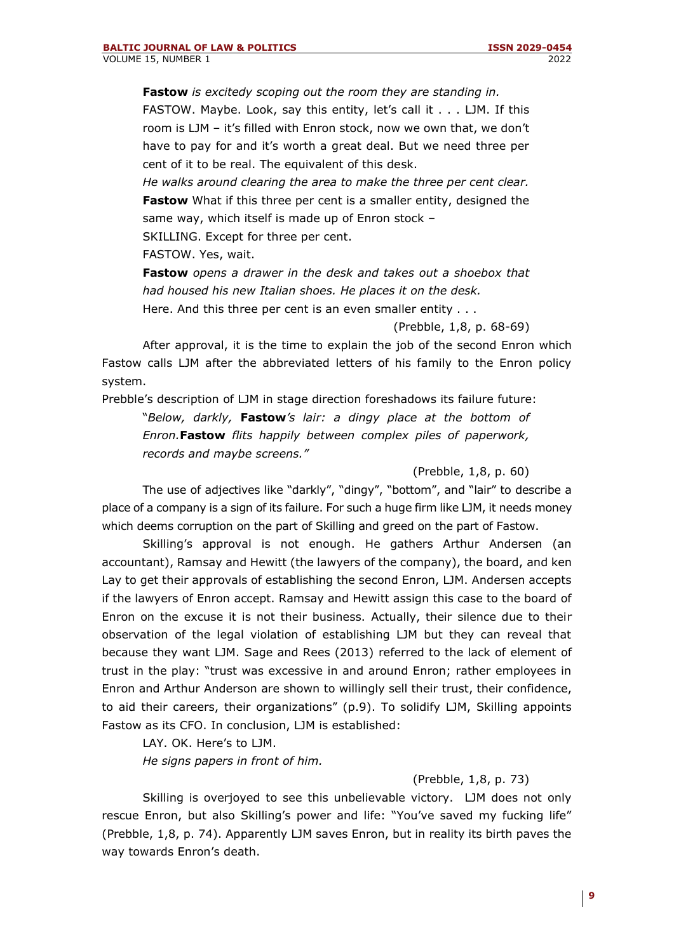**Fastow** *is excitedy scoping out the room they are standing in.* FASTOW. Maybe. Look, say this entity, let's call it . . . LJM. If this room is LJM – it's filled with Enron stock, now we own that, we don't have to pay for and it's worth a great deal. But we need three per cent of it to be real. The equivalent of this desk.

*He walks around clearing the area to make the three per cent clear.* **Fastow** What if this three per cent is a smaller entity, designed the same way, which itself is made up of Enron stock – SKILLING. Except for three per cent.

FASTOW. Yes, wait.

**Fastow** *opens a drawer in the desk and takes out a shoebox that had housed his new Italian shoes. He places it on the desk.* Here. And this three per cent is an even smaller entity . . .

(Prebble, 1,8, p. 68-69)

After approval, it is the time to explain the job of the second Enron which Fastow calls LJM after the abbreviated letters of his family to the Enron policy system.

Prebble's description of LJM in stage direction foreshadows its failure future: "*Below, darkly,* **Fastow***'s lair: a dingy place at the bottom of Enron.***Fastow** *flits happily between complex piles of paperwork, records and maybe screens."*

#### (Prebble, 1,8, p. 60)

The use of adjectives like "darkly", "dingy", "bottom", and "lair" to describe a place of a company is a sign of its failure. For such a huge firm like LJM, it needs money which deems corruption on the part of Skilling and greed on the part of Fastow.

Skilling's approval is not enough. He gathers Arthur Andersen (an accountant), Ramsay and Hewitt (the lawyers of the company), the board, and ken Lay to get their approvals of establishing the second Enron, LJM. Andersen accepts if the lawyers of Enron accept. Ramsay and Hewitt assign this case to the board of Enron on the excuse it is not their business. Actually, their silence due to their observation of the legal violation of establishing LJM but they can reveal that because they want LJM. Sage and Rees (2013) referred to the lack of element of trust in the play: "trust was excessive in and around Enron; rather employees in Enron and Arthur Anderson are shown to willingly sell their trust, their confidence, to aid their careers, their organizations" (p.9). To solidify LJM, Skilling appoints Fastow as its CFO. In conclusion, LJM is established:

LAY. OK. Here's to LJM. *He signs papers in front of him.*

## (Prebble, 1,8, p. 73)

Skilling is overjoyed to see this unbelievable victory. LJM does not only rescue Enron, but also Skilling's power and life: "You've saved my fucking life" (Prebble, 1,8, p. 74). Apparently LJM saves Enron, but in reality its birth paves the way towards Enron's death.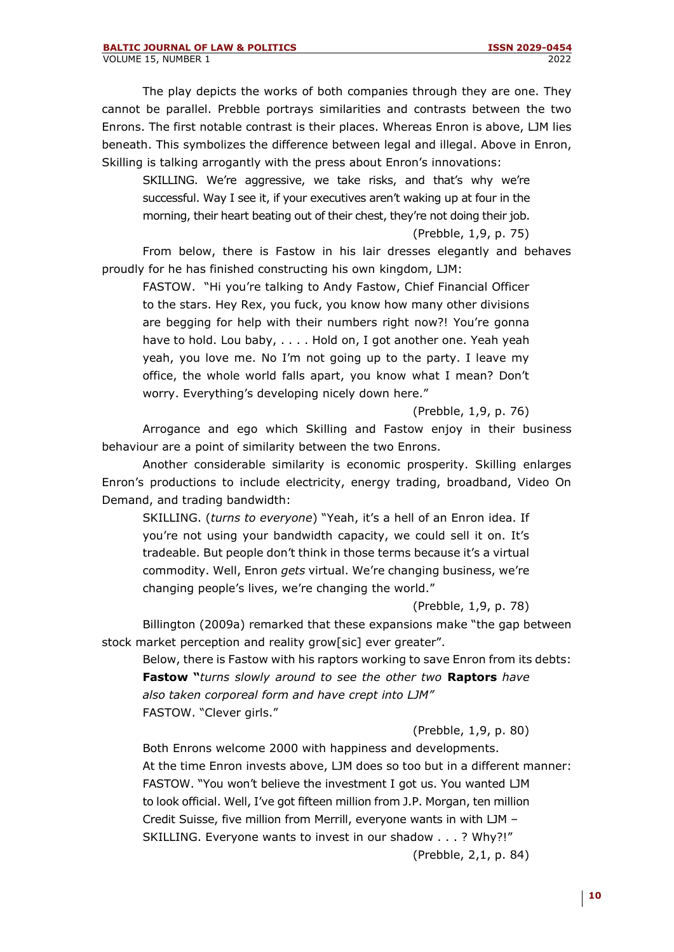The play depicts the works of both companies through they are one. They cannot be parallel. Prebble portrays similarities and contrasts between the two Enrons. The first notable contrast is their places. Whereas Enron is above, LJM lies beneath. This symbolizes the difference between legal and illegal. Above in Enron, Skilling is talking arrogantly with the press about Enron's innovations:

SKILLING. We're aggressive, we take risks, and that's why we're successful. Way I see it, if your executives aren't waking up at four in the morning, their heart beating out of their chest, they're not doing their job.

(Prebble, 1,9, p. 75)

From below, there is Fastow in his lair dresses elegantly and behaves proudly for he has finished constructing his own kingdom, LJM:

FASTOW. "Hi you're talking to Andy Fastow, Chief Financial Officer to the stars. Hey Rex, you fuck, you know how many other divisions are begging for help with their numbers right now?! You're gonna have to hold. Lou baby, . . . . Hold on, I got another one. Yeah yeah yeah, you love me. No I'm not going up to the party. I leave my office, the whole world falls apart, you know what I mean? Don't worry. Everything's developing nicely down here."

(Prebble, 1,9, p. 76)

Arrogance and ego which Skilling and Fastow enjoy in their business behaviour are a point of similarity between the two Enrons.

Another considerable similarity is economic prosperity. Skilling enlarges Enron's productions to include electricity, energy trading, broadband, Video On Demand, and trading bandwidth:

SKILLING. (*turns to everyone*) "Yeah, it's a hell of an Enron idea. If you're not using your bandwidth capacity, we could sell it on. It's tradeable. But people don't think in those terms because it's a virtual commodity. Well, Enron *gets* virtual. We're changing business, we're changing people's lives, we're changing the world."

(Prebble, 1,9, p. 78)

Billington (2009a) remarked that these expansions make "the gap between stock market perception and reality grow[sic] ever greater".

Below, there is Fastow with his raptors working to save Enron from its debts: **Fastow "***turns slowly around to see the other two* **Raptors** *have also taken corporeal form and have crept into LJM"* FASTOW. "Clever girls."

(Prebble, 1,9, p. 80)

Both Enrons welcome 2000 with happiness and developments. At the time Enron invests above, LJM does so too but in a different manner: FASTOW. "You won't believe the investment I got us. You wanted LJM to look official. Well, I've got fifteen million from J.P. Morgan, ten million Credit Suisse, five million from Merrill, everyone wants in with LJM – SKILLING. Everyone wants to invest in our shadow . . . ? Why?!" (Prebble, 2,1, p. 84)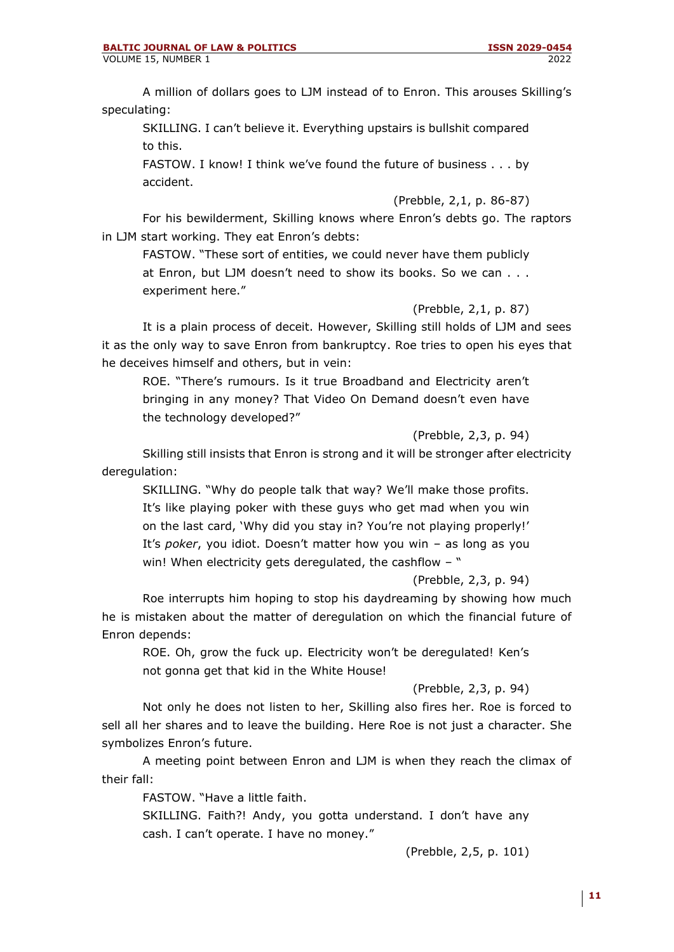A million of dollars goes to LJM instead of to Enron. This arouses Skilling's speculating:

SKILLING. I can't believe it. Everything upstairs is bullshit compared to this.

FASTOW. I know! I think we've found the future of business . . . by accident.

(Prebble, 2,1, p. 86-87)

For his bewilderment, Skilling knows where Enron's debts go. The raptors in LJM start working. They eat Enron's debts:

FASTOW. "These sort of entities, we could never have them publicly at Enron, but LJM doesn't need to show its books. So we can . . . experiment here."

(Prebble, 2,1, p. 87)

It is a plain process of deceit. However, Skilling still holds of LJM and sees it as the only way to save Enron from bankruptcy. Roe tries to open his eyes that he deceives himself and others, but in vein:

ROE. "There's rumours. Is it true Broadband and Electricity aren't bringing in any money? That Video On Demand doesn't even have the technology developed?"

(Prebble, 2,3, p. 94)

Skilling still insists that Enron is strong and it will be stronger after electricity deregulation:

SKILLING. "Why do people talk that way? We'll make those profits. It's like playing poker with these guys who get mad when you win on the last card, 'Why did you stay in? You're not playing properly!' It's *poker*, you idiot. Doesn't matter how you win – as long as you win! When electricity gets deregulated, the cashflow - "

## (Prebble, 2,3, p. 94)

Roe interrupts him hoping to stop his daydreaming by showing how much he is mistaken about the matter of deregulation on which the financial future of Enron depends:

ROE. Oh, grow the fuck up. Electricity won't be deregulated! Ken's not gonna get that kid in the White House!

(Prebble, 2,3, p. 94)

Not only he does not listen to her, Skilling also fires her. Roe is forced to sell all her shares and to leave the building. Here Roe is not just a character. She symbolizes Enron's future.

A meeting point between Enron and LJM is when they reach the climax of their fall:

FASTOW. "Have a little faith.

SKILLING. Faith?! Andy, you gotta understand. I don't have any cash. I can't operate. I have no money."

(Prebble, 2,5, p. 101)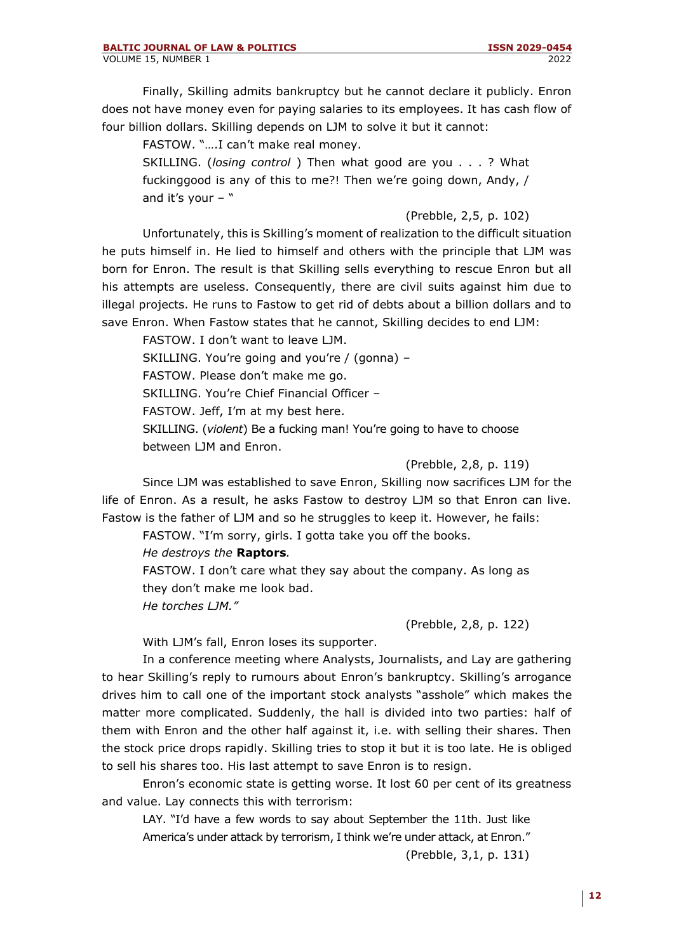Finally, Skilling admits bankruptcy but he cannot declare it publicly. Enron does not have money even for paying salaries to its employees. It has cash flow of four billion dollars. Skilling depends on LJM to solve it but it cannot:

FASTOW. "….I can't make real money.

SKILLING. (*losing control* ) Then what good are you . . . ? What fuckinggood is any of this to me?! Then we're going down, Andy, / and it's your  $-$  "

(Prebble, 2,5, p. 102)

Unfortunately, this is Skilling's moment of realization to the difficult situation he puts himself in. He lied to himself and others with the principle that LJM was born for Enron. The result is that Skilling sells everything to rescue Enron but all his attempts are useless. Consequently, there are civil suits against him due to illegal projects. He runs to Fastow to get rid of debts about a billion dollars and to save Enron. When Fastow states that he cannot, Skilling decides to end LJM:

FASTOW. I don't want to leave LJM.

SKILLING. You're going and you're / (gonna) –

FASTOW. Please don't make me go.

SKILLING. You're Chief Financial Officer –

FASTOW. Jeff, I'm at my best here.

SKILLING. (*violent*) Be a fucking man! You're going to have to choose between LJM and Enron.

(Prebble, 2,8, p. 119)

Since LJM was established to save Enron, Skilling now sacrifices LJM for the life of Enron. As a result, he asks Fastow to destroy LJM so that Enron can live. Fastow is the father of LJM and so he struggles to keep it. However, he fails:

FASTOW. "I'm sorry, girls. I gotta take you off the books.

*He destroys the* **Raptors***.*

FASTOW. I don't care what they say about the company. As long as they don't make me look bad. *He torches LJM."*

(Prebble, 2,8, p. 122)

With LJM's fall, Enron loses its supporter.

In a conference meeting where Analysts, Journalists, and Lay are gathering to hear Skilling's reply to rumours about Enron's bankruptcy. Skilling's arrogance drives him to call one of the important stock analysts "asshole" which makes the matter more complicated. Suddenly, the hall is divided into two parties: half of them with Enron and the other half against it, i.e. with selling their shares. Then the stock price drops rapidly. Skilling tries to stop it but it is too late. He is obliged to sell his shares too. His last attempt to save Enron is to resign.

Enron's economic state is getting worse. It lost 60 per cent of its greatness and value. Lay connects this with terrorism:

LAY. "I'd have a few words to say about September the 11th. Just like America's under attack by terrorism, I think we're under attack, at Enron."

(Prebble, 3,1, p. 131)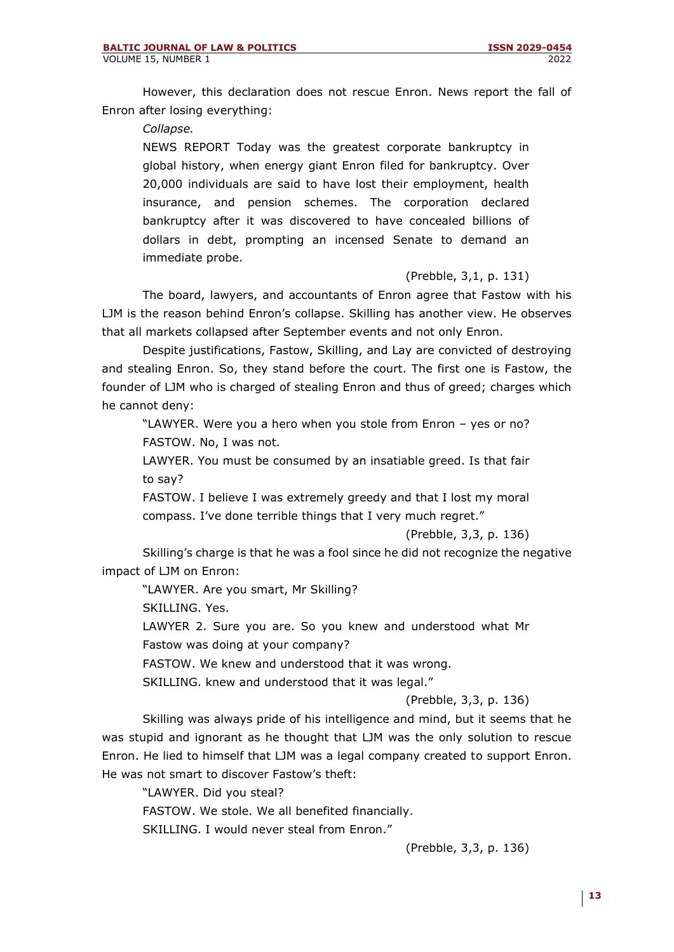However, this declaration does not rescue Enron. News report the fall of Enron after losing everything:

*Collapse.*

NEWS REPORT Today was the greatest corporate bankruptcy in global history, when energy giant Enron filed for bankruptcy. Over 20,000 individuals are said to have lost their employment, health insurance, and pension schemes. The corporation declared bankruptcy after it was discovered to have concealed billions of dollars in debt, prompting an incensed Senate to demand an immediate probe.

## (Prebble, 3,1, p. 131)

The board, lawyers, and accountants of Enron agree that Fastow with his LJM is the reason behind Enron's collapse. Skilling has another view. He observes that all markets collapsed after September events and not only Enron.

Despite justifications, Fastow, Skilling, and Lay are convicted of destroying and stealing Enron. So, they stand before the court. The first one is Fastow, the founder of LJM who is charged of stealing Enron and thus of greed; charges which he cannot deny:

"LAWYER. Were you a hero when you stole from Enron – yes or no? FASTOW. No, I was not.

LAWYER. You must be consumed by an insatiable greed. Is that fair to say?

FASTOW. I believe I was extremely greedy and that I lost my moral compass. I've done terrible things that I very much regret."

(Prebble, 3,3, p. 136)

Skilling's charge is that he was a fool since he did not recognize the negative impact of LJM on Enron:

"LAWYER. Are you smart, Mr Skilling?

SKILLING. Yes.

LAWYER 2. Sure you are. So you knew and understood what Mr Fastow was doing at your company?

FASTOW. We knew and understood that it was wrong.

SKILLING. knew and understood that it was legal."

(Prebble, 3,3, p. 136)

Skilling was always pride of his intelligence and mind, but it seems that he was stupid and ignorant as he thought that LJM was the only solution to rescue Enron. He lied to himself that LJM was a legal company created to support Enron. He was not smart to discover Fastow's theft:

"LAWYER. Did you steal? FASTOW. We stole. We all benefited financially. SKILLING. I would never steal from Enron."

(Prebble, 3,3, p. 136)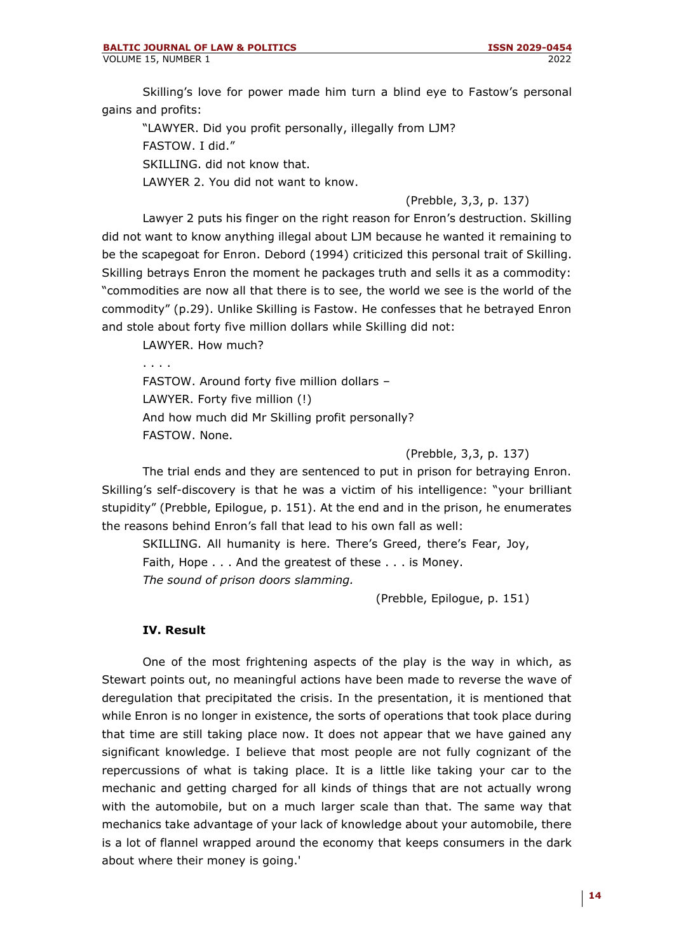Skilling's love for power made him turn a blind eye to Fastow's personal gains and profits:

"LAWYER. Did you profit personally, illegally from LJM? FASTOW. I did." SKILLING. did not know that. LAWYER 2. You did not want to know.

## (Prebble, 3,3, p. 137)

Lawyer 2 puts his finger on the right reason for Enron's destruction. Skilling did not want to know anything illegal about LJM because he wanted it remaining to be the scapegoat for Enron. Debord (1994) criticized this personal trait of Skilling. Skilling betrays Enron the moment he packages truth and sells it as a commodity: "commodities are now all that there is to see, the world we see is the world of the commodity" (p.29). Unlike Skilling is Fastow. He confesses that he betrayed Enron and stole about forty five million dollars while Skilling did not:

LAWYER. How much?

. . . . FASTOW. Around forty five million dollars – LAWYER. Forty five million (!) And how much did Mr Skilling profit personally? FASTOW. None.

(Prebble, 3,3, p. 137)

The trial ends and they are sentenced to put in prison for betraying Enron. Skilling's self-discovery is that he was a victim of his intelligence: "your brilliant stupidity" (Prebble, Epilogue, p. 151). At the end and in the prison, he enumerates the reasons behind Enron's fall that lead to his own fall as well:

SKILLING. All humanity is here. There's Greed, there's Fear, Joy, Faith, Hope . . . And the greatest of these . . . is Money. *The sound of prison doors slamming.*

(Prebble, Epilogue, p. 151)

#### **IV. Result**

One of the most frightening aspects of the play is the way in which, as Stewart points out, no meaningful actions have been made to reverse the wave of deregulation that precipitated the crisis. In the presentation, it is mentioned that while Enron is no longer in existence, the sorts of operations that took place during that time are still taking place now. It does not appear that we have gained any significant knowledge. I believe that most people are not fully cognizant of the repercussions of what is taking place. It is a little like taking your car to the mechanic and getting charged for all kinds of things that are not actually wrong with the automobile, but on a much larger scale than that. The same way that mechanics take advantage of your lack of knowledge about your automobile, there is a lot of flannel wrapped around the economy that keeps consumers in the dark about where their money is going.'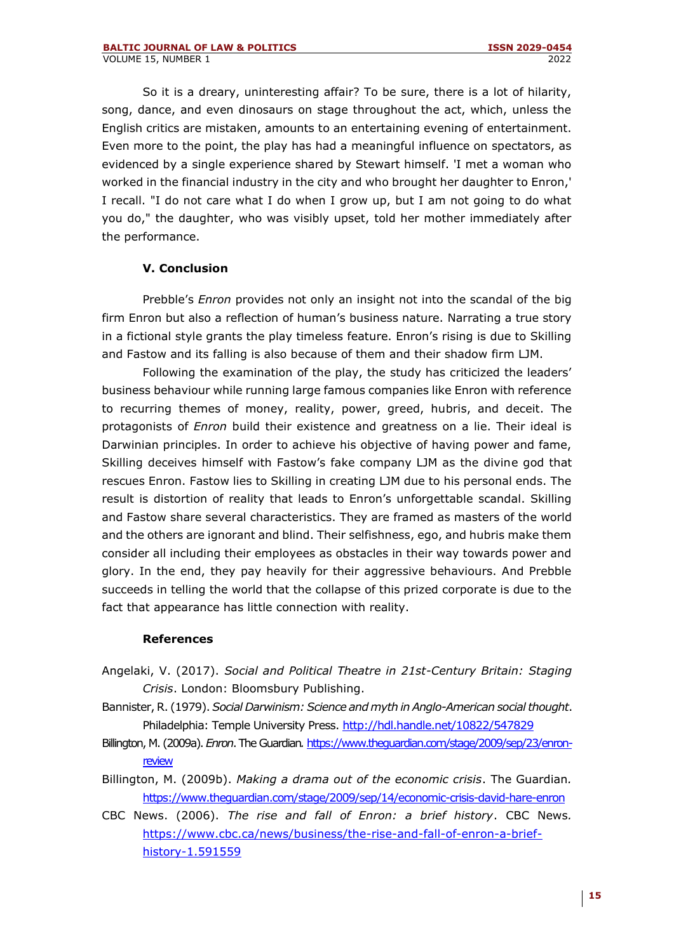So it is a dreary, uninteresting affair? To be sure, there is a lot of hilarity, song, dance, and even dinosaurs on stage throughout the act, which, unless the English critics are mistaken, amounts to an entertaining evening of entertainment. Even more to the point, the play has had a meaningful influence on spectators, as evidenced by a single experience shared by Stewart himself. 'I met a woman who worked in the financial industry in the city and who brought her daughter to Enron,' I recall. "I do not care what I do when I grow up, but I am not going to do what you do," the daughter, who was visibly upset, told her mother immediately after the performance.

## **V. Conclusion**

Prebble's *Enron* provides not only an insight not into the scandal of the big firm Enron but also a reflection of human's business nature. Narrating a true story in a fictional style grants the play timeless feature. Enron's rising is due to Skilling and Fastow and its falling is also because of them and their shadow firm LJM.

Following the examination of the play, the study has criticized the leaders' business behaviour while running large famous companies like Enron with reference to recurring themes of money, reality, power, greed, hubris, and deceit. The protagonists of *Enron* build their existence and greatness on a lie. Their ideal is Darwinian principles. In order to achieve his objective of having power and fame, Skilling deceives himself with Fastow's fake company LJM as the divine god that rescues Enron. Fastow lies to Skilling in creating LJM due to his personal ends. The result is distortion of reality that leads to Enron's unforgettable scandal. Skilling and Fastow share several characteristics. They are framed as masters of the world and the others are ignorant and blind. Their selfishness, ego, and hubris make them consider all including their employees as obstacles in their way towards power and glory. In the end, they pay heavily for their aggressive behaviours. And Prebble succeeds in telling the world that the collapse of this prized corporate is due to the fact that appearance has little connection with reality.

#### **References**

- Angelaki, V. (2017). *Social and Political Theatre in 21st-Century Britain: Staging Crisis*. London: Bloomsbury Publishing.
- Bannister, R. (1979). *Social Darwinism: Science and myth in Anglo-American social thought*. Philadelphia: Temple University Press[. http://hdl.handle.net/10822/547829](http://hdl.handle.net/10822/547829)
- Billington, M. (2009a). *Enron*. The Guardian*.* [https://www.theguardian.com/stage/2009/sep/23/enron](https://www.theguardian.com/stage/2009/sep/23/enron-review)[review](https://www.theguardian.com/stage/2009/sep/23/enron-review)
- Billington, M. (2009b). *Making a drama out of the economic crisis*. The Guardian*.* <https://www.theguardian.com/stage/2009/sep/14/economic-crisis-david-hare-enron>
- CBC News. (2006). *The rise and fall of Enron: a brief history*. CBC News*.* [https://www.cbc.ca/news/business/the-rise-and-fall-of-enron-a-brief](https://www.cbc.ca/news/business/the-rise-and-fall-of-enron-a-brief-history-1.591559)[history-1.591559](https://www.cbc.ca/news/business/the-rise-and-fall-of-enron-a-brief-history-1.591559)